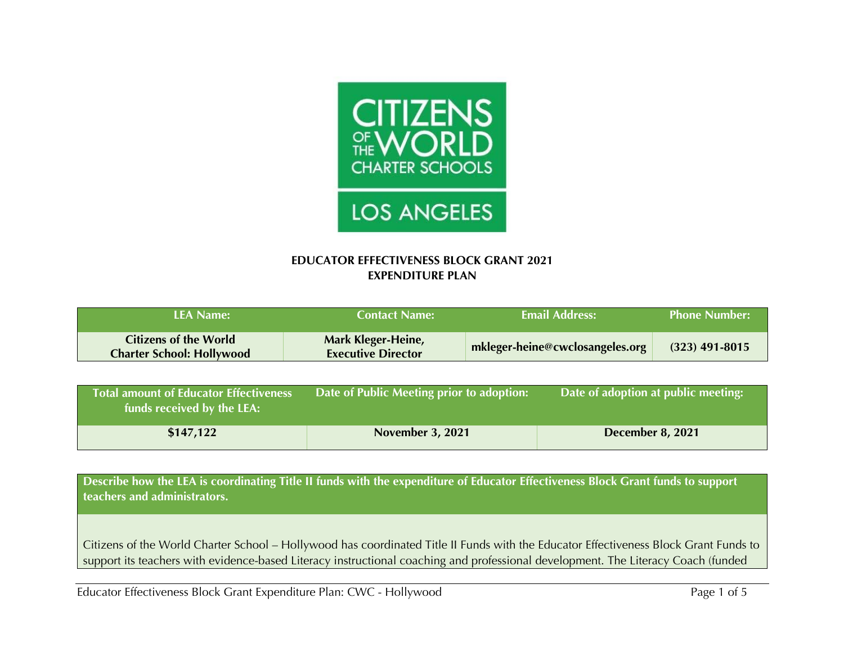

## **EDUCATOR EFFECTIVENESS BLOCK GRANT 2021 EXPENDITURE PLAN**

| <b>LEA Name:</b>                                                 | <b>Contact Name:</b>                            | <b>Email Address:</b>           | <b>Phone Number:</b> |
|------------------------------------------------------------------|-------------------------------------------------|---------------------------------|----------------------|
| <b>Citizens of the World</b><br><b>Charter School: Hollywood</b> | Mark Kleger-Heine,<br><b>Executive Director</b> | mkleger-heine@cwclosangeles.org | $(323)$ 491-8015     |
|                                                                  |                                                 |                                 |                      |

| <b>Total amount of Educator Effectiveness</b><br>funds received by the LEA: | Date of Public Meeting prior to adoption: | $\Box$ Date of adoption at public meeting: |
|-----------------------------------------------------------------------------|-------------------------------------------|--------------------------------------------|
| \$147,122                                                                   | <b>November 3, 2021</b>                   | December 8, 2021                           |

**Describe how the LEA is coordinating Title II funds with the expenditure of Educator Effectiveness Block Grant funds to support teachers and administrators.**

Citizens of the World Charter School – Hollywood has coordinated Title II Funds with the Educator Effectiveness Block Grant Funds to support its teachers with evidence-based Literacy instructional coaching and professional development. The Literacy Coach (funded

Educator Effectiveness Block Grant Expenditure Plan: CWC - Hollywood Page 1 of 5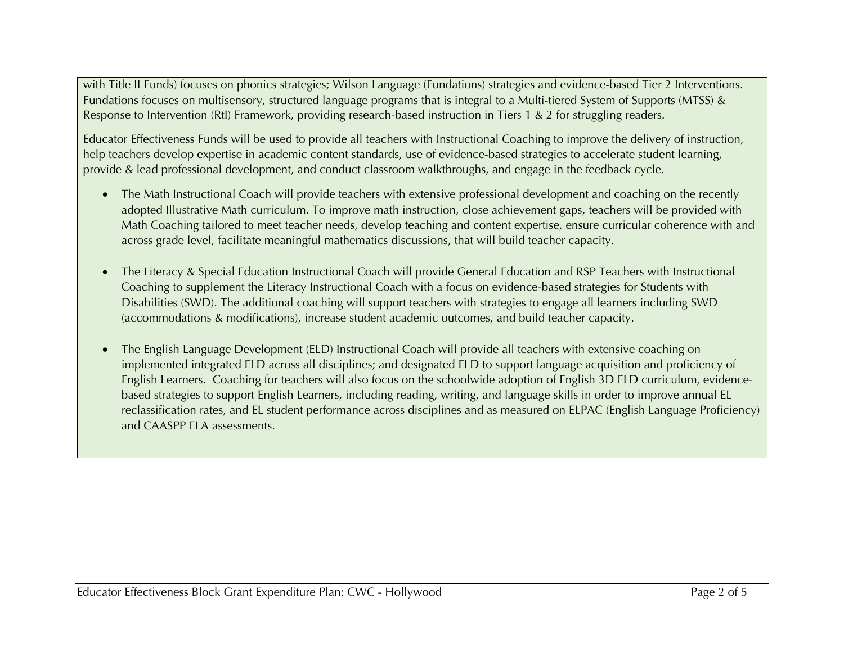with Title II Funds) focuses on phonics strategies; Wilson Language (Fundations) strategies and evidence-based Tier 2 Interventions. Fundations focuses on multisensory, structured language programs that is integral to a Multi-tiered System of Supports (MTSS) & Response to Intervention (RtI) Framework, providing research-based instruction in Tiers 1 & 2 for struggling readers.

Educator Effectiveness Funds will be used to provide all teachers with Instructional Coaching to improve the delivery of instruction, help teachers develop expertise in academic content standards, use of evidence-based strategies to accelerate student learning, provide & lead professional development, and conduct classroom walkthroughs, and engage in the feedback cycle.

- The Math Instructional Coach will provide teachers with extensive professional development and coaching on the recently adopted Illustrative Math curriculum. To improve math instruction, close achievement gaps, teachers will be provided with Math Coaching tailored to meet teacher needs, develop teaching and content expertise, ensure curricular coherence with and across grade level, facilitate meaningful mathematics discussions, that will build teacher capacity.
- The Literacy & Special Education Instructional Coach will provide General Education and RSP Teachers with Instructional Coaching to supplement the Literacy Instructional Coach with a focus on evidence-based strategies for Students with Disabilities (SWD). The additional coaching will support teachers with strategies to engage all learners including SWD (accommodations & modifications), increase student academic outcomes, and build teacher capacity.
- The English Language Development (ELD) Instructional Coach will provide all teachers with extensive coaching on implemented integrated ELD across all disciplines; and designated ELD to support language acquisition and proficiency of English Learners. Coaching for teachers will also focus on the schoolwide adoption of English 3D ELD curriculum, evidencebased strategies to support English Learners, including reading, writing, and language skills in order to improve annual EL reclassification rates, and EL student performance across disciplines and as measured on ELPAC (English Language Proficiency) and CAASPP ELA assessments.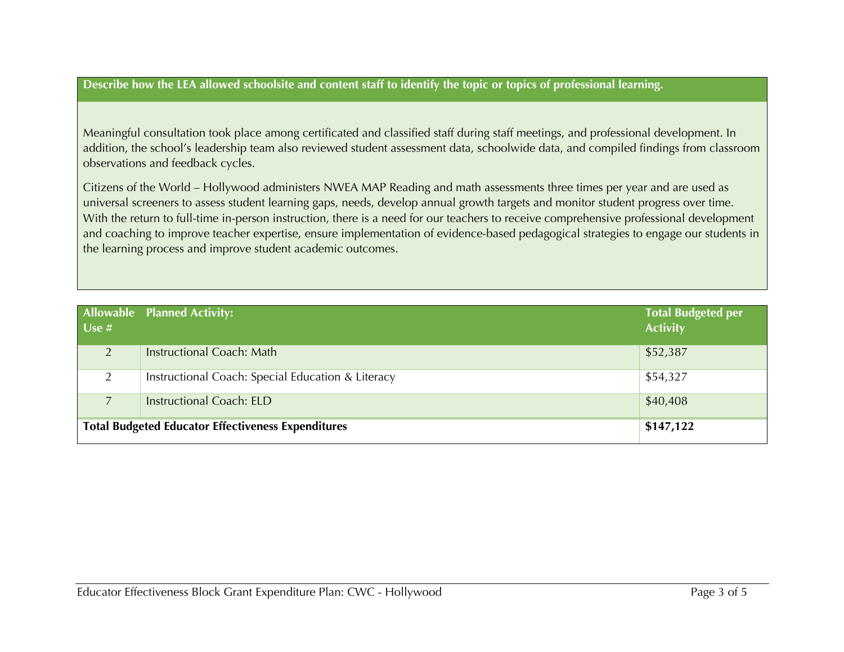## **Describe how the LEA allowed schoolsite and content staff to identify the topic or topics of professional learning.**

Meaningful consultation took place among certificated and classified staff during staff meetings, and professional development. In addition, the school's leadership team also reviewed student assessment data, schoolwide data, and compiled findings from classroom observations and feedback cycles.

Citizens of the World – Hollywood administers NWEA MAP Reading and math assessments three times per year and are used as universal screeners to assess student learning gaps, needs, develop annual growth targets and monitor student progress over time. With the return to full-time in-person instruction, there is a need for our teachers to receive comprehensive professional development and coaching to improve teacher expertise, ensure implementation of evidence-based pedagogical strategies to engage our students in the learning process and improve student academic outcomes.

| Use #                                                     | <b>Allowable Planned Activity:</b>                | <b>Total Budgeted per</b><br><b>Activity</b> |
|-----------------------------------------------------------|---------------------------------------------------|----------------------------------------------|
| $\mathcal{P}$                                             | Instructional Coach: Math                         | \$52,387                                     |
| 2                                                         | Instructional Coach: Special Education & Literacy | \$54,327                                     |
|                                                           | <b>Instructional Coach: ELD</b>                   | \$40,408                                     |
| <b>Total Budgeted Educator Effectiveness Expenditures</b> |                                                   | \$147,122                                    |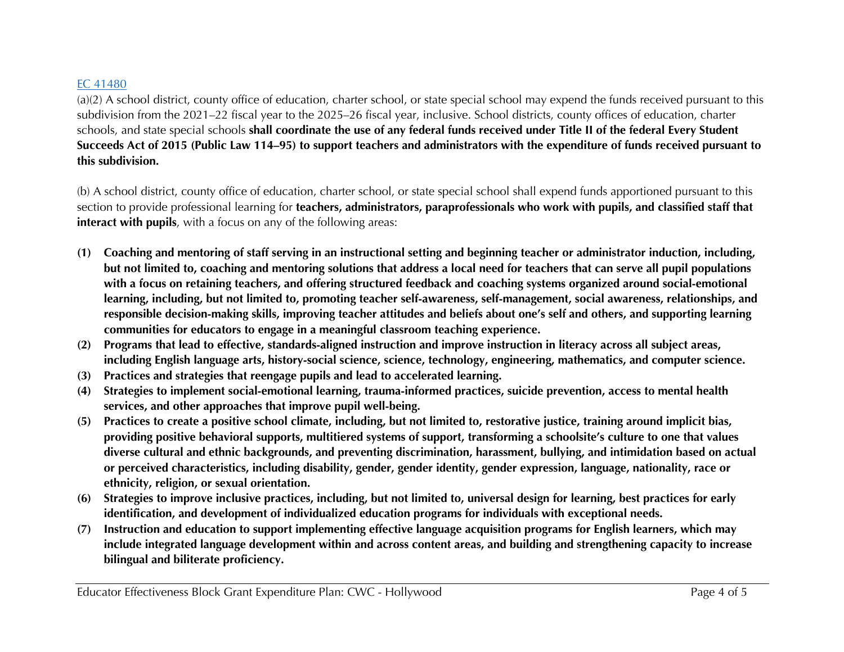## EC 41480

(a)(2) A school district, county office of education, charter school, or state special school may expend the funds received pursuant to this subdivision from the 2021–22 fiscal year to the 2025–26 fiscal year, inclusive. School districts, county offices of education, charter schools, and state special schools **shall coordinate the use of any federal funds received under Title II of the federal Every Student Succeeds Act of 2015 (Public Law 114–95) to support teachers and administrators with the expenditure of funds received pursuant to this subdivision.**

(b) A school district, county office of education, charter school, or state special school shall expend funds apportioned pursuant to this section to provide professional learning for **teachers, administrators, paraprofessionals who work with pupils, and classified staff that interact with pupils**, with a focus on any of the following areas:

- **(1) Coaching and mentoring of staff serving in an instructional setting and beginning teacher or administrator induction, including, but not limited to, coaching and mentoring solutions that address a local need for teachers that can serve all pupil populations with a focus on retaining teachers, and offering structured feedback and coaching systems organized around social-emotional learning, including, but not limited to, promoting teacher self-awareness, self-management, social awareness, relationships, and responsible decision-making skills, improving teacher attitudes and beliefs about one's self and others, and supporting learning communities for educators to engage in a meaningful classroom teaching experience.**
- **(2) Programs that lead to effective, standards-aligned instruction and improve instruction in literacy across all subject areas, including English language arts, history-social science, science, technology, engineering, mathematics, and computer science.**
- **(3) Practices and strategies that reengage pupils and lead to accelerated learning.**
- **(4) Strategies to implement social-emotional learning, trauma-informed practices, suicide prevention, access to mental health services, and other approaches that improve pupil well-being.**
- **(5) Practices to create a positive school climate, including, but not limited to, restorative justice, training around implicit bias, providing positive behavioral supports, multitiered systems of support, transforming a schoolsite's culture to one that values diverse cultural and ethnic backgrounds, and preventing discrimination, harassment, bullying, and intimidation based on actual or perceived characteristics, including disability, gender, gender identity, gender expression, language, nationality, race or ethnicity, religion, or sexual orientation.**
- **(6) Strategies to improve inclusive practices, including, but not limited to, universal design for learning, best practices for early identification, and development of individualized education programs for individuals with exceptional needs.**
- **(7) Instruction and education to support implementing effective language acquisition programs for English learners, which may include integrated language development within and across content areas, and building and strengthening capacity to increase bilingual and biliterate proficiency.**